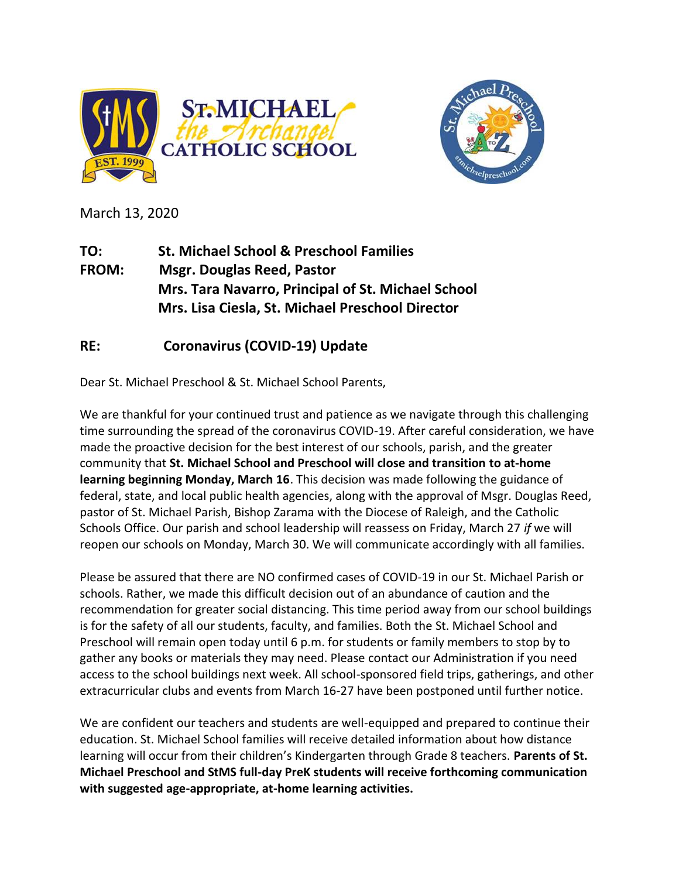



March 13, 2020

**TO: St. Michael School & Preschool Families FROM: Msgr. Douglas Reed, Pastor Mrs. Tara Navarro, Principal of St. Michael School Mrs. Lisa Ciesla, St. Michael Preschool Director**

## **RE: Coronavirus (COVID-19) Update**

Dear St. Michael Preschool & St. Michael School Parents,

We are thankful for your continued trust and patience as we navigate through this challenging time surrounding the spread of the coronavirus COVID-19. After careful consideration, we have made the proactive decision for the best interest of our schools, parish, and the greater community that **St. Michael School and Preschool will close and transition to at-home learning beginning Monday, March 16**. This decision was made following the guidance of federal, state, and local public health agencies, along with the approval of Msgr. Douglas Reed, pastor of St. Michael Parish, Bishop Zarama with the Diocese of Raleigh, and the Catholic Schools Office. Our parish and school leadership will reassess on Friday, March 27 *if* we will reopen our schools on Monday, March 30. We will communicate accordingly with all families.

Please be assured that there are NO confirmed cases of COVID-19 in our St. Michael Parish or schools. Rather, we made this difficult decision out of an abundance of caution and the recommendation for greater social distancing. This time period away from our school buildings is for the safety of all our students, faculty, and families. Both the St. Michael School and Preschool will remain open today until 6 p.m. for students or family members to stop by to gather any books or materials they may need. Please contact our Administration if you need access to the school buildings next week. All school-sponsored field trips, gatherings, and other extracurricular clubs and events from March 16-27 have been postponed until further notice.

We are confident our teachers and students are well-equipped and prepared to continue their education. St. Michael School families will receive detailed information about how distance learning will occur from their children's Kindergarten through Grade 8 teachers. **Parents of St. Michael Preschool and StMS full-day PreK students will receive forthcoming communication with suggested age-appropriate, at-home learning activities.**